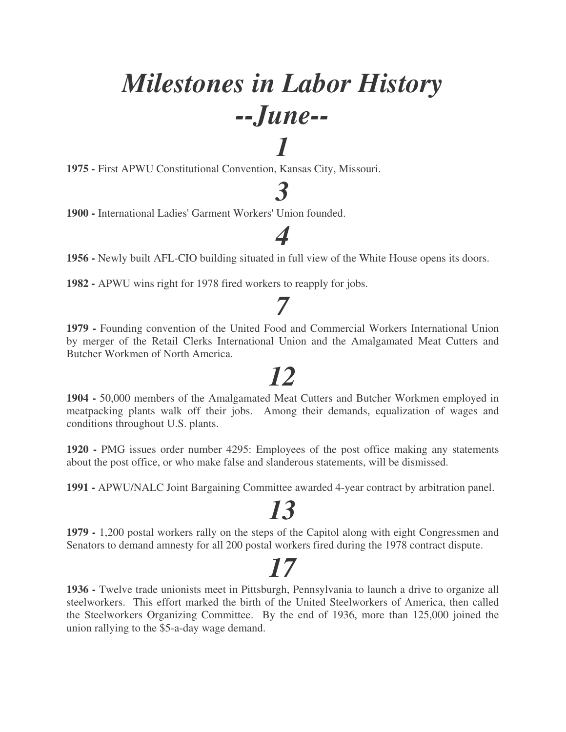# *Milestones in Labor History --June--*

**-** First APWU Constitutional Convention, Kansas City, Missouri.

#### 

**-** International Ladies' Garment Workers' Union founded.

#### 

**-** Newly built AFL-CIO building situated in full view of the White House opens its doors.

**-** APWU wins right for 1978 fired workers to reapply for jobs.

# 

 **-** Founding convention of the United Food and Commercial Workers International Union by merger of the Retail Clerks International Union and the Amalgamated Meat Cutters and Butcher Workmen of North America.

## 

 **-** 50,000 members of the Amalgamated Meat Cutters and Butcher Workmen employed in meatpacking plants walk off their jobs. Among their demands, equalization of wages and conditions throughout U.S. plants.

 **-** PMG issues order number 4295: Employees of the post office making any statements about the post office, or who make false and slanderous statements, will be dismissed.

**-** APWU/NALC Joint Bargaining Committee awarded 4-year contract by arbitration panel.

#### 

 **-** 1,200 postal workers rally on the steps of the Capitol along with eight Congressmen and Senators to demand amnesty for all 200 postal workers fired during the 1978 contract dispute.

## 

 **-** Twelve trade unionists meet in Pittsburgh, Pennsylvania to launch a drive to organize all steelworkers. This effort marked the birth of the United Steelworkers of America, then called the Steelworkers Organizing Committee. By the end of 1936, more than 125,000 joined the union rallying to the \$5-a-day wage demand.